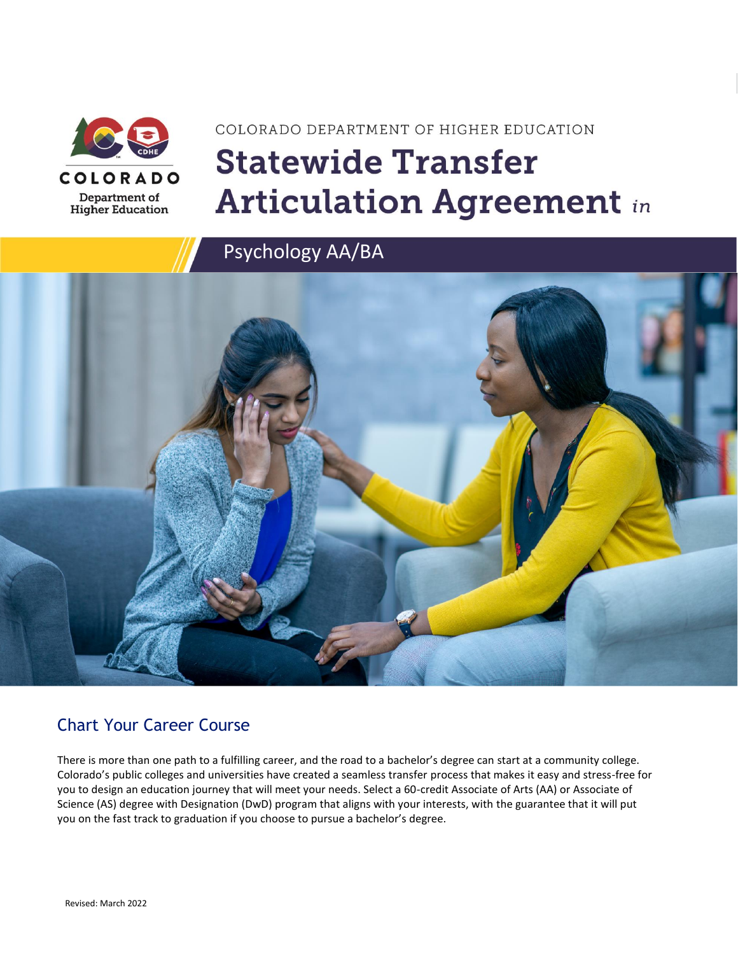

# COLORADO DEPARTMENT OF HIGHER EDUCATION **Statewide Transfer Articulation Agreement in**

Psychology AA/BA



### Chart Your Career Course

There is more than one path to a fulfilling career, and the road to a bachelor's degree can start at a community college. Colorado's public colleges and universities have created a seamless transfer process that makes it easy and stress-free for you to design an education journey that will meet your needs. Select a 60-credit Associate of Arts (AA) or Associate of Science (AS) degree with Designation (DwD) program that aligns with your interests, with the guarantee that it will put you on the fast track to graduation if you choose to pursue a bachelor's degree.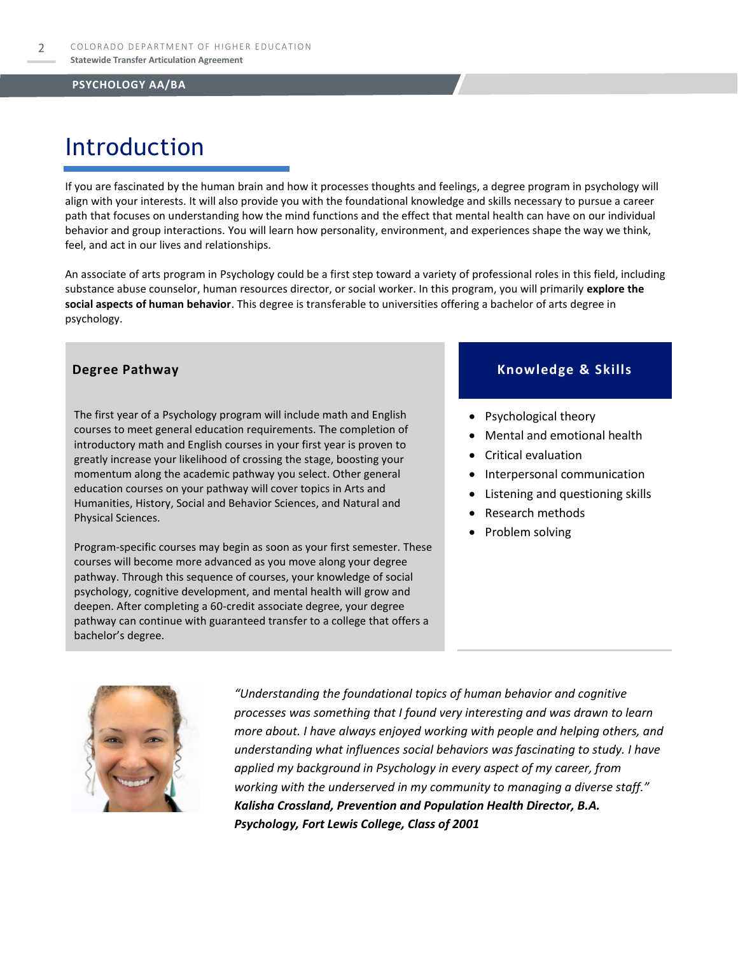### Introduction

If you are fascinated by the human brain and how it processes thoughts and feelings, a degree program in psychology will align with your interests. It will also provide you with the foundational knowledge and skills necessary to pursue a career path that focuses on understanding how the mind functions and the effect that mental health can have on our individual behavior and group interactions. You will learn how personality, environment, and experiences shape the way we think, feel, and act in our lives and relationships.

An associate of arts program in Psychology could be a first step toward a variety of professional roles in this field, including substance abuse counselor, human resources director, or social worker. In this program, you will primarily **explore the social aspects of human behavior**. This degree is transferable to universities offering a bachelor of arts degree in psychology.

The first year of a Psychology program will include math and English courses to meet general education requirements. The completion of introductory math and English courses in your first year is proven to greatly increase your likelihood of crossing the stage, boosting your momentum along the academic pathway you select. Other general education courses on your pathway will cover topics in Arts and Humanities, History, Social and Behavior Sciences, and Natural and Physical Sciences.

Program-specific courses may begin as soon as your first semester. These courses will become more advanced as you move along your degree pathway. Through this sequence of courses, your knowledge of social psychology, cognitive development, and mental health will grow and deepen. After completing a 60-credit associate degree, your degree pathway can continue with guaranteed transfer to a college that offers a bachelor's degree.

### **Degree Pathway Knowledge & Skills**

- Psychological theory
- Mental and emotional health
- Critical evaluation
- Interpersonal communication
- Listening and questioning skills
- Research methods
- Problem solving



*"Understanding the foundational topics of human behavior and cognitive processes was something that I found very interesting and was drawn to learn more about. I have always enjoyed working with people and helping others, and understanding what influences social behaviors was fascinating to study. I have applied my background in Psychology in every aspect of my career, from working with the underserved in my community to managing a diverse staff." Kalisha Crossland, Prevention and Population Health Director, B.A. Psychology, Fort Lewis College, Class of 2001*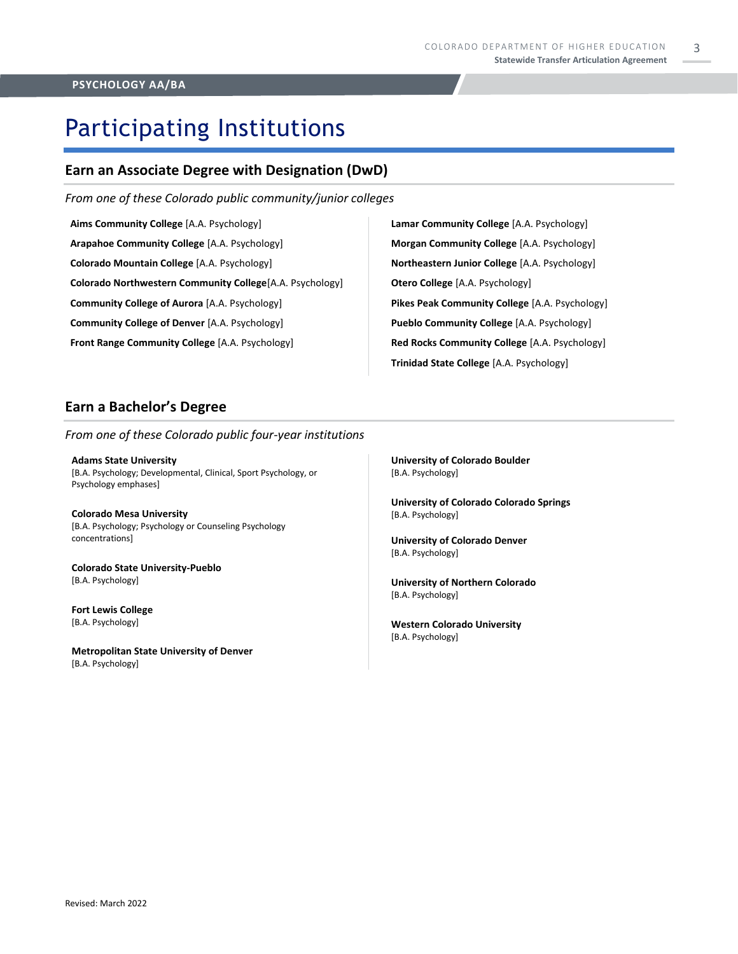## Participating Institutions

### **Earn an Associate Degree with Designation (DwD)**

*From one of these Colorado public community/junior colleges*

**Aims Community College** [A.A. Psychology] **Arapahoe Community College** [A.A. Psychology] **Colorado Mountain College** [A.A. Psychology] **Colorado Northwestern Community College**[A.A. Psychology] **Community College of Aurora** [A.A. Psychology] **Community College of Denver** [A.A. Psychology] **Front Range Community College** [A.A. Psychology]

**Lamar Community College** [A.A. Psychology] **Morgan Community College** [A.A. Psychology] **Northeastern Junior College** [A.A. Psychology] **Otero College** [A.A. Psychology] **Pikes Peak Community College** [A.A. Psychology] **Pueblo Community College** [A.A. Psychology] **Red Rocks Community College** [A.A. Psychology] **Trinidad State College** [A.A. Psychology]

### **Earn a Bachelor's Degree**

*From one of these Colorado public four-year institutions*

**Adams State University**  [B.A. Psychology; Developmental, Clinical, Sport Psychology, or Psychology emphases]

**Colorado Mesa University**  [B.A. Psychology; Psychology or Counseling Psychology concentrations]

**Colorado State University-Pueblo**  [B.A. Psychology]

**Fort Lewis College**  [B.A. Psychology]

**Metropolitan State University of Denver**  [B.A. Psychology]

**University of Colorado Boulder**  [B.A. Psychology]

**University of Colorado Colorado Springs** [B.A. Psychology]

**University of Colorado Denver** [B.A. Psychology]

**University of Northern Colorado** [B.A. Psychology]

**Western Colorado University** [B.A. Psychology]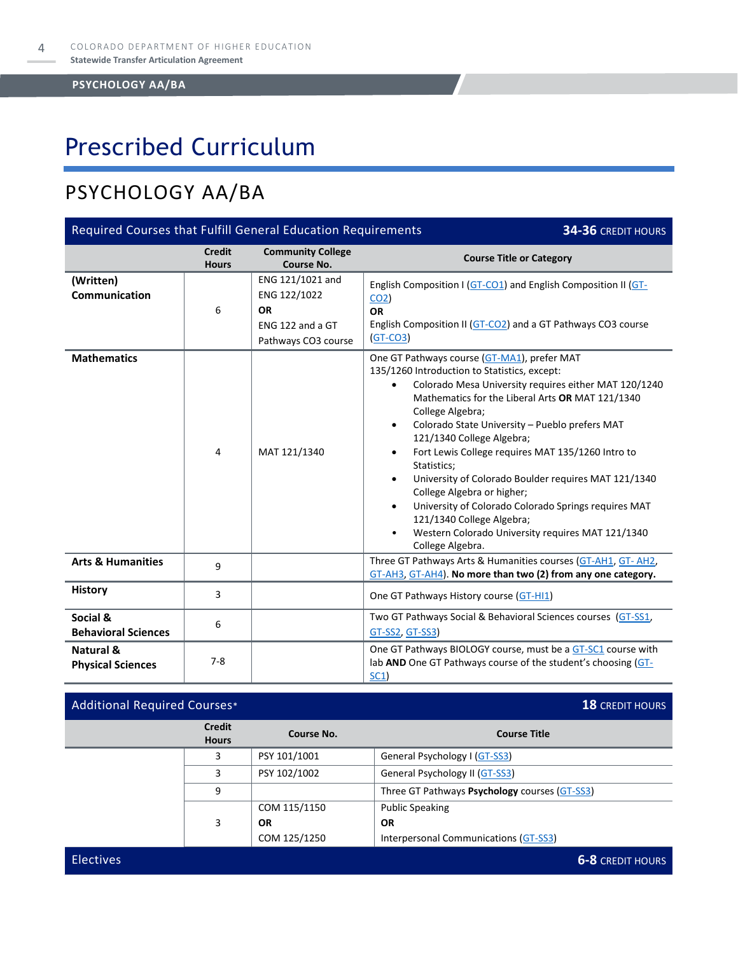### Prescribed Curriculum

### PSYCHOLOGY AA/BA

| Required Courses that Fulfill General Education Requirements<br>34-36 CREDIT HOURS |                               |                                                                                          |                                                                                                                                                                                                                                                                                                                                                                                                                                                                                                                                                                                                                                                                                                           |  |
|------------------------------------------------------------------------------------|-------------------------------|------------------------------------------------------------------------------------------|-----------------------------------------------------------------------------------------------------------------------------------------------------------------------------------------------------------------------------------------------------------------------------------------------------------------------------------------------------------------------------------------------------------------------------------------------------------------------------------------------------------------------------------------------------------------------------------------------------------------------------------------------------------------------------------------------------------|--|
|                                                                                    | <b>Credit</b><br><b>Hours</b> | <b>Community College</b><br><b>Course No.</b>                                            | <b>Course Title or Category</b>                                                                                                                                                                                                                                                                                                                                                                                                                                                                                                                                                                                                                                                                           |  |
| (Written)<br>Communication                                                         | 6                             | ENG 121/1021 and<br>ENG 122/1022<br><b>OR</b><br>ENG 122 and a GT<br>Pathways CO3 course | English Composition I (GT-CO1) and English Composition II (GT-<br>CO <sub>2</sub><br><b>OR</b><br>English Composition II (GT-CO2) and a GT Pathways CO3 course<br>$(GT-CO3)$                                                                                                                                                                                                                                                                                                                                                                                                                                                                                                                              |  |
| <b>Mathematics</b>                                                                 | 4                             | MAT 121/1340                                                                             | One GT Pathways course (GT-MA1), prefer MAT<br>135/1260 Introduction to Statistics, except:<br>Colorado Mesa University requires either MAT 120/1240<br>$\bullet$<br>Mathematics for the Liberal Arts OR MAT 121/1340<br>College Algebra;<br>Colorado State University - Pueblo prefers MAT<br>$\bullet$<br>121/1340 College Algebra;<br>Fort Lewis College requires MAT 135/1260 Intro to<br>$\bullet$<br>Statistics;<br>University of Colorado Boulder requires MAT 121/1340<br>٠<br>College Algebra or higher;<br>University of Colorado Colorado Springs requires MAT<br>$\bullet$<br>121/1340 College Algebra;<br>Western Colorado University requires MAT 121/1340<br>$\bullet$<br>College Algebra. |  |
| <b>Arts &amp; Humanities</b>                                                       | 9                             |                                                                                          | Three GT Pathways Arts & Humanities courses (GT-AH1, GT-AH2,<br>GT-AH3, GT-AH4). No more than two (2) from any one category.                                                                                                                                                                                                                                                                                                                                                                                                                                                                                                                                                                              |  |
| <b>History</b>                                                                     | 3                             |                                                                                          | One GT Pathways History course (GT-HI1)                                                                                                                                                                                                                                                                                                                                                                                                                                                                                                                                                                                                                                                                   |  |
| Social &<br><b>Behavioral Sciences</b>                                             | 6                             |                                                                                          | Two GT Pathways Social & Behavioral Sciences courses (GT-SS1,<br>GT-SS2, GT-SS3)                                                                                                                                                                                                                                                                                                                                                                                                                                                                                                                                                                                                                          |  |
| Natural &<br><b>Physical Sciences</b>                                              | $7 - 8$                       |                                                                                          | One GT Pathways BIOLOGY course, must be a GT-SC1 course with<br>lab AND One GT Pathways course of the student's choosing (GT-<br>SC1)                                                                                                                                                                                                                                                                                                                                                                                                                                                                                                                                                                     |  |

| <b>Additional Required Courses*</b> |                               |              | <b>18 CREDIT HOURS</b>                        |  |
|-------------------------------------|-------------------------------|--------------|-----------------------------------------------|--|
|                                     | <b>Credit</b><br><b>Hours</b> | Course No.   | <b>Course Title</b>                           |  |
|                                     | 3                             | PSY 101/1001 | General Psychology I (GT-SS3)                 |  |
|                                     | 3                             | PSY 102/1002 | General Psychology II (GT-SS3)                |  |
|                                     | 9                             |              | Three GT Pathways Psychology courses (GT-SS3) |  |
|                                     |                               | COM 115/1150 | <b>Public Speaking</b>                        |  |
|                                     | 3                             | <b>OR</b>    | <b>OR</b>                                     |  |
|                                     |                               | COM 125/1250 | Interpersonal Communications (GT-SS3)         |  |
| <b>Electives</b>                    |                               |              | <b>6-8 CREDIT HOURS</b>                       |  |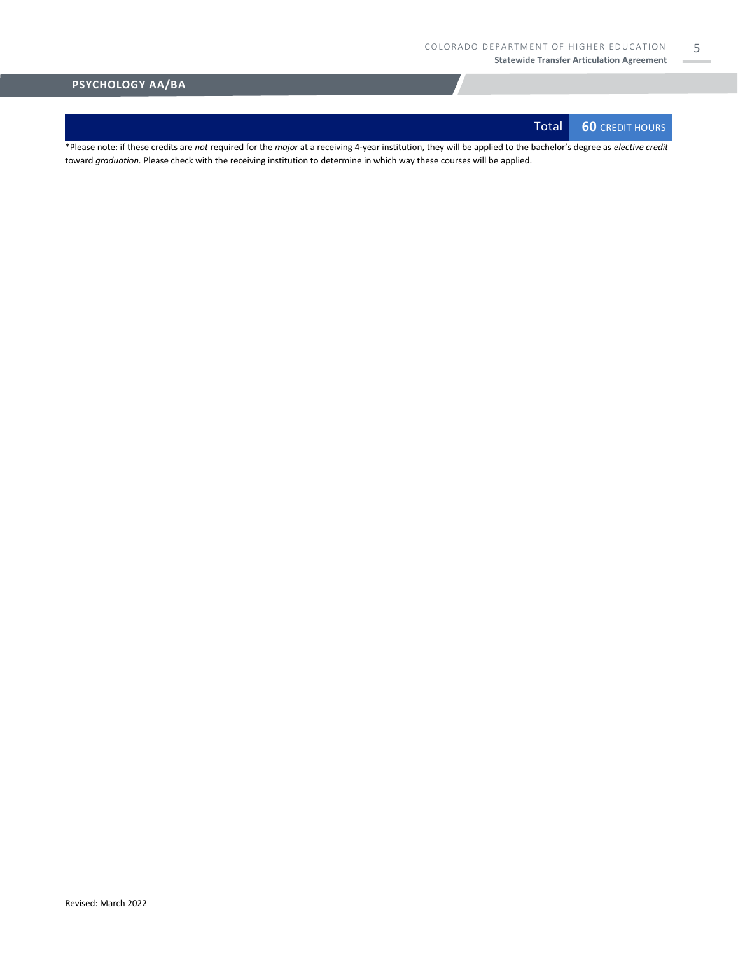Total **60** CREDIT HOURS

5

\*Please note: if these credits are *not* required for the *major* at a receiving 4-year institution, they will be applied to the bachelor's degree as *elective credit* toward *graduation.* Please check with the receiving institution to determine in which way these courses will be applied.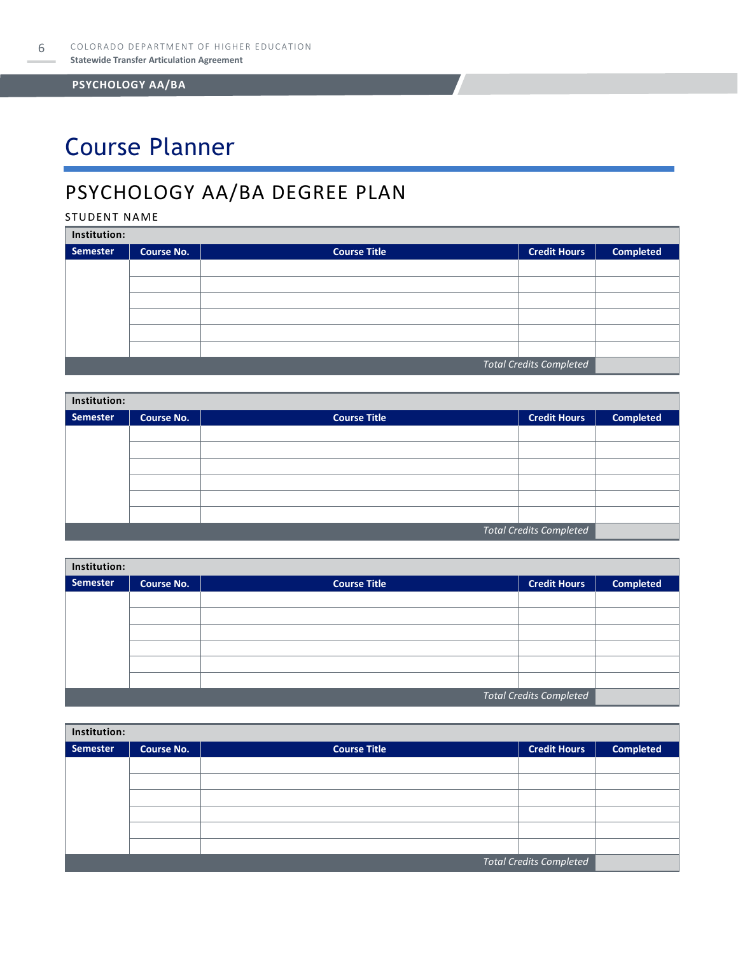## Course Planner

### PSYCHOLOGY AA/BA DEGREE PLAN

#### STUDENT NAME

| Institution: |                   |                     |                                |                  |  |  |
|--------------|-------------------|---------------------|--------------------------------|------------------|--|--|
| Semester     | <b>Course No.</b> | <b>Course Title</b> | <b>Credit Hours</b>            | <b>Completed</b> |  |  |
|              |                   |                     |                                |                  |  |  |
|              |                   |                     |                                |                  |  |  |
|              |                   |                     |                                |                  |  |  |
|              |                   |                     |                                |                  |  |  |
|              |                   |                     |                                |                  |  |  |
|              |                   |                     |                                |                  |  |  |
|              |                   |                     | <b>Total Credits Completed</b> |                  |  |  |

| Institution:                   |                   |                     |                     |                  |  |  |
|--------------------------------|-------------------|---------------------|---------------------|------------------|--|--|
| Semester                       | <b>Course No.</b> | <b>Course Title</b> | <b>Credit Hours</b> | <b>Completed</b> |  |  |
|                                |                   |                     |                     |                  |  |  |
|                                |                   |                     |                     |                  |  |  |
|                                |                   |                     |                     |                  |  |  |
|                                |                   |                     |                     |                  |  |  |
|                                |                   |                     |                     |                  |  |  |
|                                |                   |                     |                     |                  |  |  |
| <b>Total Credits Completed</b> |                   |                     |                     |                  |  |  |

| Institution:                   |                   |                     |                     |                  |  |
|--------------------------------|-------------------|---------------------|---------------------|------------------|--|
| Semester                       | <b>Course No.</b> | <b>Course Title</b> | <b>Credit Hours</b> | <b>Completed</b> |  |
|                                |                   |                     |                     |                  |  |
|                                |                   |                     |                     |                  |  |
|                                |                   |                     |                     |                  |  |
|                                |                   |                     |                     |                  |  |
|                                |                   |                     |                     |                  |  |
|                                |                   |                     |                     |                  |  |
| <b>Total Credits Completed</b> |                   |                     |                     |                  |  |

| Institution: |                                |                     |                     |                  |  |  |
|--------------|--------------------------------|---------------------|---------------------|------------------|--|--|
| Semester     | <b>Course No.</b>              | <b>Course Title</b> | <b>Credit Hours</b> | <b>Completed</b> |  |  |
|              |                                |                     |                     |                  |  |  |
|              |                                |                     |                     |                  |  |  |
|              |                                |                     |                     |                  |  |  |
|              |                                |                     |                     |                  |  |  |
|              |                                |                     |                     |                  |  |  |
|              |                                |                     |                     |                  |  |  |
|              | <b>Total Credits Completed</b> |                     |                     |                  |  |  |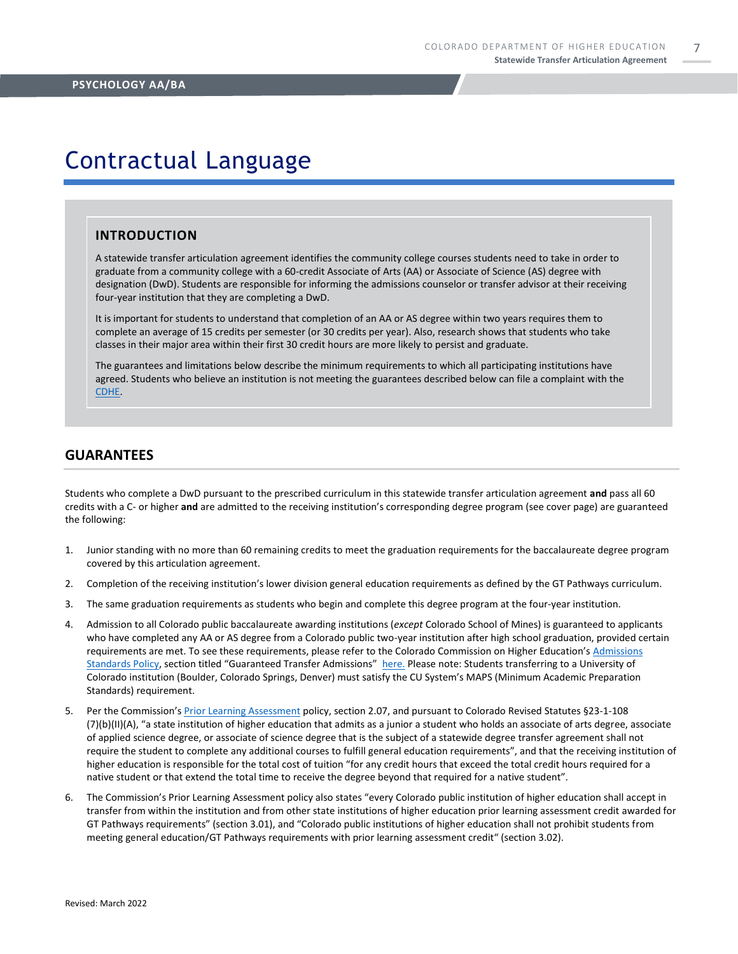7

### Contractual Language

#### **INTRODUCTION**

A statewide transfer articulation agreement identifies the community college courses students need to take in order to graduate from a community college with a 60-credit Associate of Arts (AA) or Associate of Science (AS) degree with designation (DwD). Students are responsible for informing the admissions counselor or transfer advisor at their receiving four-year institution that they are completing a DwD.

It is important for students to understand that completion of an AA or AS degree within two years requires them to complete an average of 15 credits per semester (or 30 credits per year). Also, research shows that students who take classes in their major area within their first 30 credit hours are more likely to persist and graduate.

The guarantees and limitations below describe the minimum requirements to which all participating institutions have agreed. Students who believe an institution is not meeting the guarantees described below can file a complaint with the [CDHE.](https://highered.colorado.gov/filing-student-complaint)

#### **GUARANTEES**

Students who complete a DwD pursuant to the prescribed curriculum in this statewide transfer articulation agreement **and** pass all 60 credits with a C- or higher **and** are admitted to the receiving institution's corresponding degree program (see cover page) are guaranteed the following:

- 1. Junior standing with no more than 60 remaining credits to meet the graduation requirements for the baccalaureate degree program covered by this articulation agreement.
- 2. Completion of the receiving institution's lower division general education requirements as defined by the GT Pathways curriculum.
- 3. The same graduation requirements as students who begin and complete this degree program at the four-year institution.
- 4. Admission to all Colorado public baccalaureate awarding institutions (*except* Colorado School of Mines) is guaranteed to applicants who have completed any AA or AS degree from a Colorado public two-year institution after high school graduation, provided certain requirements are met. To see these requirements, please refer to the Colorado Commission on Higher Education's [Admissions](https://highered.colorado.gov/sites/highered/files/2020-03/i-partf_0.pdf)  [Standards Policy](https://highered.colorado.gov/sites/highered/files/2020-03/i-partf_0.pdf), section titled "Guaranteed Transfer Admissions" [here.](https://highered.colorado.gov/educators/policy-funding/cche-policies-procedures) Please note: Students transferring to a University of Colorado institution (Boulder, Colorado Springs, Denver) must satisfy the CU System's MAPS (Minimum Academic Preparation Standards) requirement.
- 5. Per the Commission's [Prior Learning Assessment](https://highered.colorado.gov/sites/highered/files/2020-03/i-partx.pdf) policy, section 2.07, and pursuant to Colorado Revised Statutes §23-1-108 (7)(b)(II)(A), "a state institution of higher education that admits as a junior a student who holds an associate of arts degree, associate of applied science degree, or associate of science degree that is the subject of a statewide degree transfer agreement shall not require the student to complete any additional courses to fulfill general education requirements", and that the receiving institution of higher education is responsible for the total cost of tuition "for any credit hours that exceed the total credit hours required for a native student or that extend the total time to receive the degree beyond that required for a native student".
- 6. The Commission's Prior Learning Assessment policy also states "every Colorado public institution of higher education shall accept in transfer from within the institution and from other state institutions of higher education prior learning assessment credit awarded for GT Pathways requirements" (section 3.01), and "Colorado public institutions of higher education shall not prohibit students from meeting general education/GT Pathways requirements with prior learning assessment credit" (section 3.02).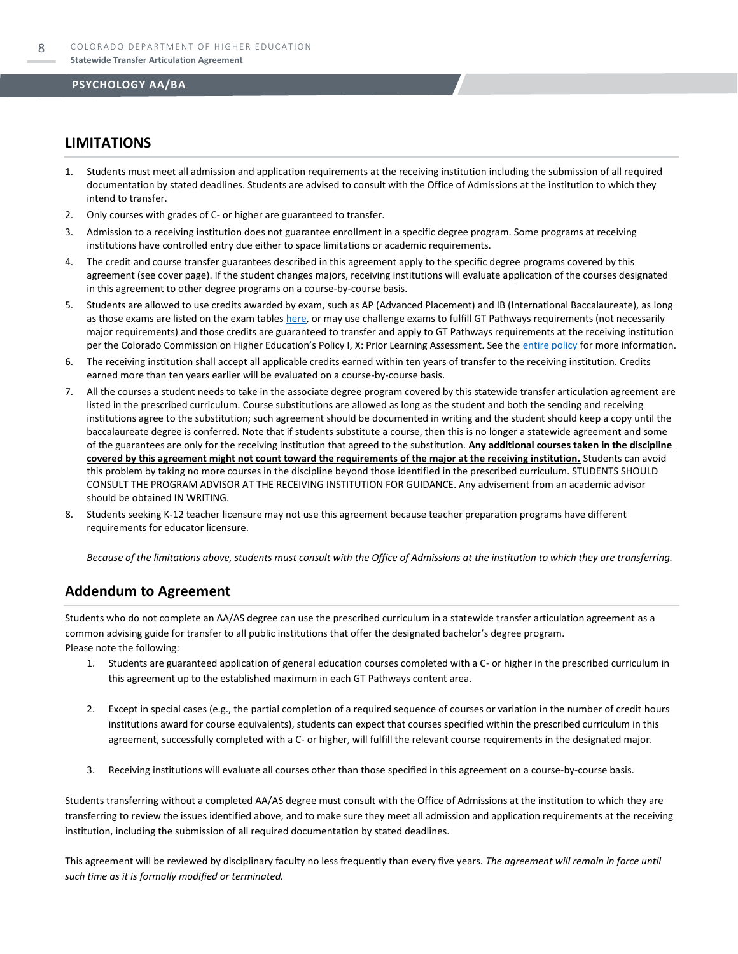### **LIMITATIONS**

- 1. Students must meet all admission and application requirements at the receiving institution including the submission of all required documentation by stated deadlines. Students are advised to consult with the Office of Admissions at the institution to which they intend to transfer.
- 2. Only courses with grades of C- or higher are guaranteed to transfer.
- 3. Admission to a receiving institution does not guarantee enrollment in a specific degree program. Some programs at receiving institutions have controlled entry due either to space limitations or academic requirements.
- 4. The credit and course transfer guarantees described in this agreement apply to the specific degree programs covered by this agreement (see cover page). If the student changes majors, receiving institutions will evaluate application of the courses designated in this agreement to other degree programs on a course-by-course basis.
- 5. Students are allowed to use credits awarded by exam, such as AP (Advanced Placement) and IB (International Baccalaureate), as long as those exams are listed on the exam table[s here,](https://highered.colorado.gov/get-credit-for-what-you-already-know) or may use challenge exams to fulfill GT Pathways requirements (not necessarily major requirements) and those credits are guaranteed to transfer and apply to GT Pathways requirements at the receiving institution per the Colorado Commission on Higher Education's Policy I, X: Prior Learning Assessment. See the [entire policy](https://highered.colorado.gov/sites/highered/files/2020-03/i-partx.pdf) for more information.
- 6. The receiving institution shall accept all applicable credits earned within ten years of transfer to the receiving institution. Credits earned more than ten years earlier will be evaluated on a course-by-course basis.
- 7. All the courses a student needs to take in the associate degree program covered by this statewide transfer articulation agreement are listed in the prescribed curriculum. Course substitutions are allowed as long as the student and both the sending and receiving institutions agree to the substitution; such agreement should be documented in writing and the student should keep a copy until the baccalaureate degree is conferred. Note that if students substitute a course, then this is no longer a statewide agreement and some of the guarantees are only for the receiving institution that agreed to the substitution. **Any additional courses taken in the discipline covered by this agreement might not count toward the requirements of the major at the receiving institution.** Students can avoid this problem by taking no more courses in the discipline beyond those identified in the prescribed curriculum. STUDENTS SHOULD CONSULT THE PROGRAM ADVISOR AT THE RECEIVING INSTITUTION FOR GUIDANCE. Any advisement from an academic advisor should be obtained IN WRITING.
- Students seeking K-12 teacher licensure may not use this agreement because teacher preparation programs have different requirements for educator licensure.

*Because of the limitations above, students must consult with the Office of Admissions at the institution to which they are transferring.*

### **Addendum to Agreement**

Students who do not complete an AA/AS degree can use the prescribed curriculum in a statewide transfer articulation agreement as a common advising guide for transfer to all public institutions that offer the designated bachelor's degree program. Please note the following:

- 1. Students are guaranteed application of general education courses completed with a C- or higher in the prescribed curriculum in this agreement up to the established maximum in each GT Pathways content area.
- 2. Except in special cases (e.g., the partial completion of a required sequence of courses or variation in the number of credit hours institutions award for course equivalents), students can expect that courses specified within the prescribed curriculum in this agreement, successfully completed with a C- or higher, will fulfill the relevant course requirements in the designated major.
- 3. Receiving institutions will evaluate all courses other than those specified in this agreement on a course-by-course basis.

Students transferring without a completed AA/AS degree must consult with the Office of Admissions at the institution to which they are transferring to review the issues identified above, and to make sure they meet all admission and application requirements at the receiving institution, including the submission of all required documentation by stated deadlines.

This agreement will be reviewed by disciplinary faculty no less frequently than every five years. *The agreement will remain in force until such time as it is formally modified or terminated.*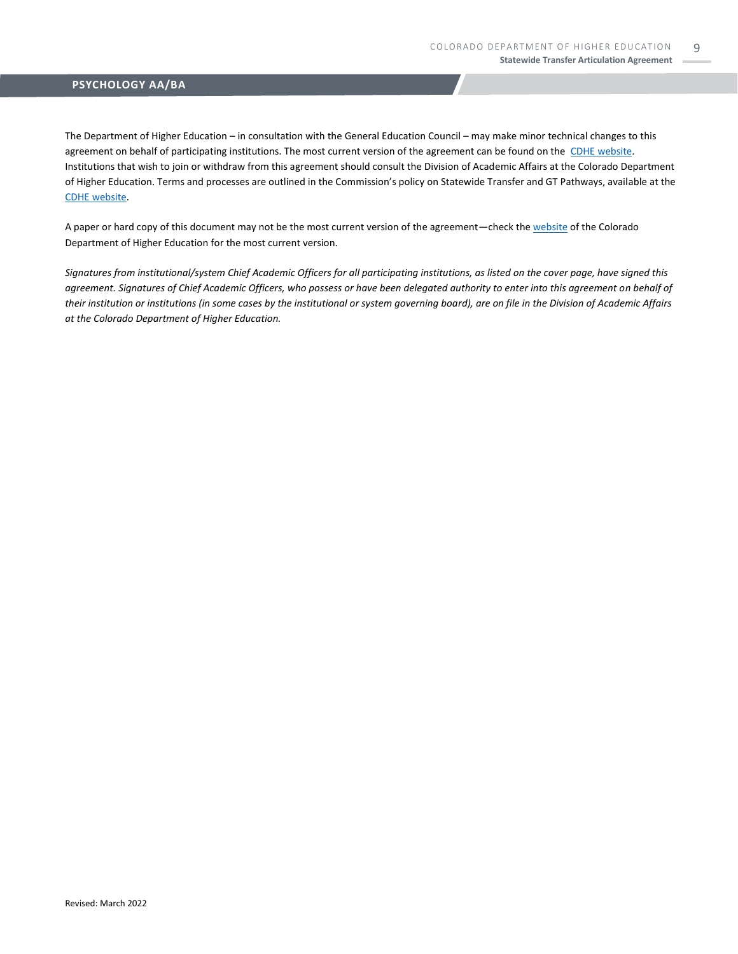The Department of Higher Education – in consultation with the General Education Council – may make minor technical changes to this agreement on behalf of participating institutions. The most current version of the agreement can be found on the [CDHE website.](https://highered.colorado.gov/transfer-degrees) Institutions that wish to join or withdraw from this agreement should consult the Division of Academic Affairs at the Colorado Department of Higher Education. Terms and processes are outlined in the Commission's policy on Statewide Transfer and GT Pathways, available at the [CDHE website.](https://highered.colorado.gov/educators/policy-funding/general-education-ge-council/gtpathways/transfer-agreements)

A paper or hard copy of this document may not be the most current version of the agreement—check th[e website](https://highered.colorado.gov/transfer-degrees) of the Colorado Department of Higher Education for the most current version.

*Signatures from institutional/system Chief Academic Officers for all participating institutions, as listed on the cover page, have signed this agreement. Signatures of Chief Academic Officers, who possess or have been delegated authority to enter into this agreement on behalf of their institution or institutions (in some cases by the institutional or system governing board), are on file in the Division of Academic Affairs at the Colorado Department of Higher Education.*